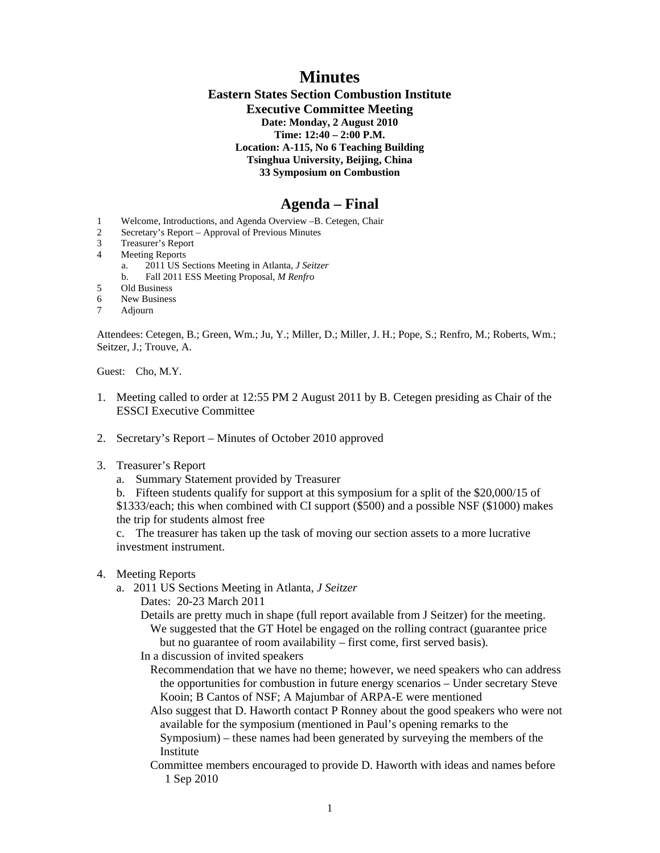## **Minutes**

## **Eastern States Section Combustion Institute Executive Committee Meeting Date: Monday, 2 August 2010 Time: 12:40 – 2:00 P.M. Location: A-115, No 6 Teaching Building Tsinghua University, Beijing, China 33 Symposium on Combustion**

## **Agenda – Final**

- 1 Welcome, Introductions, and Agenda Overview –B. Cetegen, Chair
- 2 Secretary's Report Approval of Previous Minutes
- 3 Treasurer's Report
- 4 Meeting Reports
	- a. 2011 US Sections Meeting in Atlanta, *J Seitzer*
	- b. Fall 2011 ESS Meeting Proposal, *M Renfro*
- 5 Old Business
- 6 New Business
- 7 Adjourn

Attendees: Cetegen, B.; Green, Wm.; Ju, Y.; Miller, D.; Miller, J. H.; Pope, S.; Renfro, M.; Roberts, Wm.; Seitzer, J.; Trouve, A.

Guest: Cho, M.Y.

- 1. Meeting called to order at 12:55 PM 2 August 2011 by B. Cetegen presiding as Chair of the ESSCI Executive Committee
- 2. Secretary's Report Minutes of October 2010 approved
- 3. Treasurer's Report
	- a. Summary Statement provided by Treasurer
	- b. Fifteen students qualify for support at this symposium for a split of the \$20,000/15 of

\$1333/each; this when combined with CI support (\$500) and a possible NSF (\$1000) makes the trip for students almost free

 c. The treasurer has taken up the task of moving our section assets to a more lucrative investment instrument.

- 4. Meeting Reports
	- a. 2011 US Sections Meeting in Atlanta, *J Seitzer*
		- Dates: 20-23 March 2011
		- Details are pretty much in shape (full report available from J Seitzer) for the meeting. We suggested that the GT Hotel be engaged on the rolling contract (guarantee price but no guarantee of room availability – first come, first served basis).
		- In a discussion of invited speakers
			- Recommendation that we have no theme; however, we need speakers who can address the opportunities for combustion in future energy scenarios – Under secretary Steve Kooin; B Cantos of NSF; A Majumbar of ARPA-E were mentioned

Also suggest that D. Haworth contact P Ronney about the good speakers who were not available for the symposium (mentioned in Paul's opening remarks to the

- Symposium) these names had been generated by surveying the members of the Institute
- Committee members encouraged to provide D. Haworth with ideas and names before 1 Sep 2010